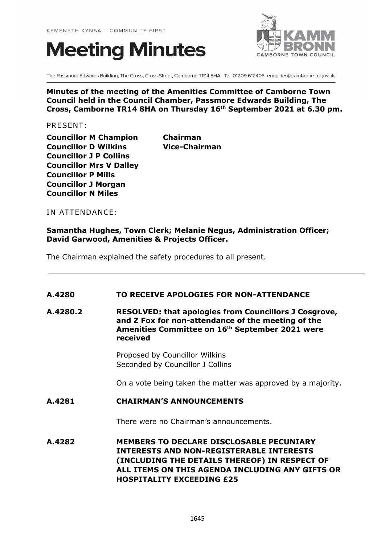# **Meeting Minutes**



The Passmore Edwards Building, The Cross, Cross Street, Camborne TR14 8HA Tel: 01209 612406 enquiries@camborne-tc.gov.uk

## **Minutes of the meeting of the Amenities Committee of Camborne Town Council held in the Council Chamber, Passmore Edwards Building, The Cross, Camborne TR14 8HA on Thursday 16th September 2021 at 6.30 pm.**

PRESENT:

**Councillor M Champion Chairman Councillor D Wilkins Vice-Chairman Councillor J P Collins Councillor Mrs V Dalley Councillor P Mills Councillor J Morgan Councillor N Miles**

IN ATTENDANCE:

#### **Samantha Hughes, Town Clerk; Melanie Negus, Administration Officer; David Garwood, Amenities & Projects Officer.**

The Chairman explained the safety procedures to all present.

# **A.4280 TO RECEIVE APOLOGIES FOR NON-ATTENDANCE**

**A.4280.2 RESOLVED: that apologies from Councillors J Cosgrove, and Z Fox for non-attendance of the meeting of the Amenities Committee on 16th September 2021 were received**

> Proposed by Councillor Wilkins Seconded by Councillor J Collins

On a vote being taken the matter was approved by a majority.

#### **A.4281 CHAIRMAN'S ANNOUNCEMENTS**

There were no Chairman's announcements.

**A.4282 MEMBERS TO DECLARE DISCLOSABLE PECUNIARY INTERESTS AND NON-REGISTERABLE INTERESTS (INCLUDING THE DETAILS THEREOF) IN RESPECT OF ALL ITEMS ON THIS AGENDA INCLUDING ANY GIFTS OR HOSPITALITY EXCEEDING £25**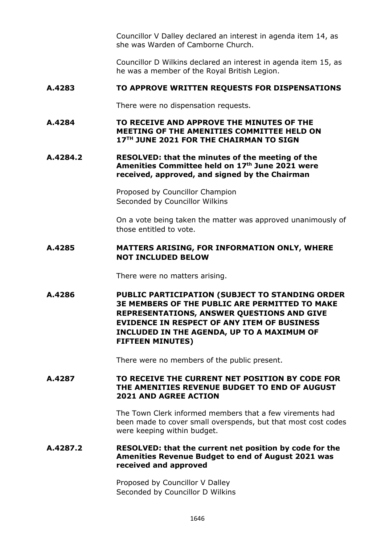Councillor V Dalley declared an interest in agenda item 14, as she was Warden of Camborne Church.

Councillor D Wilkins declared an interest in agenda item 15, as he was a member of the Royal British Legion.

## **A.4283 TO APPROVE WRITTEN REQUESTS FOR DISPENSATIONS**

There were no dispensation requests.

## **A.4284 TO RECEIVE AND APPROVE THE MINUTES OF THE MEETING OF THE AMENITIES COMMITTEE HELD ON 17TH JUNE 2021 FOR THE CHAIRMAN TO SIGN**

**A.4284.2 RESOLVED: that the minutes of the meeting of the Amenities Committee held on 17th June 2021 were received, approved, and signed by the Chairman**

> Proposed by Councillor Champion Seconded by Councillor Wilkins

On a vote being taken the matter was approved unanimously of those entitled to vote.

# **A.4285 MATTERS ARISING, FOR INFORMATION ONLY, WHERE NOT INCLUDED BELOW**

There were no matters arising.

**A.4286 PUBLIC PARTICIPATION (SUBJECT TO STANDING ORDER 3E MEMBERS OF THE PUBLIC ARE PERMITTED TO MAKE REPRESENTATIONS, ANSWER QUESTIONS AND GIVE EVIDENCE IN RESPECT OF ANY ITEM OF BUSINESS INCLUDED IN THE AGENDA, UP TO A MAXIMUM OF FIFTEEN MINUTES)**

There were no members of the public present.

## **A.4287 TO RECEIVE THE CURRENT NET POSITION BY CODE FOR THE AMENITIES REVENUE BUDGET TO END OF AUGUST 2021 AND AGREE ACTION**

The Town Clerk informed members that a few virements had been made to cover small overspends, but that most cost codes were keeping within budget.

## **A.4287.2 RESOLVED: that the current net position by code for the Amenities Revenue Budget to end of August 2021 was received and approved**

Proposed by Councillor V Dalley Seconded by Councillor D Wilkins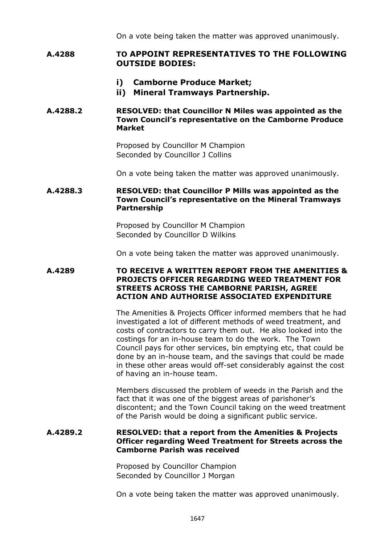On a vote being taken the matter was approved unanimously.

# **A.4288 TO APPOINT REPRESENTATIVES TO THE FOLLOWING OUTSIDE BODIES:**

- **i) Camborne Produce Market;**
- **ii) Mineral Tramways Partnership.**

## **A.4288.2 RESOLVED: that Councillor N Miles was appointed as the Town Council's representative on the Camborne Produce Market**

Proposed by Councillor M Champion Seconded by Councillor J Collins

On a vote being taken the matter was approved unanimously.

# **A.4288.3 RESOLVED: that Councillor P Mills was appointed as the Town Council's representative on the Mineral Tramways Partnership**

Proposed by Councillor M Champion Seconded by Councillor D Wilkins

On a vote being taken the matter was approved unanimously.

## **A.4289 TO RECEIVE A WRITTEN REPORT FROM THE AMENITIES & PROJECTS OFFICER REGARDING WEED TREATMENT FOR STREETS ACROSS THE CAMBORNE PARISH, AGREE ACTION AND AUTHORISE ASSOCIATED EXPENDITURE**

The Amenities & Projects Officer informed members that he had investigated a lot of different methods of weed treatment, and costs of contractors to carry them out. He also looked into the costings for an in-house team to do the work. The Town Council pays for other services, bin emptying etc, that could be done by an in-house team, and the savings that could be made in these other areas would off-set considerably against the cost of having an in-house team.

Members discussed the problem of weeds in the Parish and the fact that it was one of the biggest areas of parishoner's discontent; and the Town Council taking on the weed treatment of the Parish would be doing a significant public service.

# **A.4289.2 RESOLVED: that a report from the Amenities & Projects Officer regarding Weed Treatment for Streets across the Camborne Parish was received**

Proposed by Councillor Champion Seconded by Councillor J Morgan

On a vote being taken the matter was approved unanimously.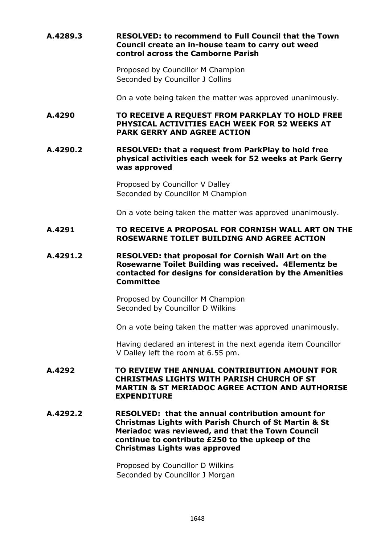## **A.4289.3 RESOLVED: to recommend to Full Council that the Town Council create an in-house team to carry out weed control across the Camborne Parish**

Proposed by Councillor M Champion Seconded by Councillor J Collins

On a vote being taken the matter was approved unanimously.

#### **A.4290 TO RECEIVE A REQUEST FROM PARKPLAY TO HOLD FREE PHYSICAL ACTIVITIES EACH WEEK FOR 52 WEEKS AT PARK GERRY AND AGREE ACTION**

## **A.4290.2 RESOLVED: that a request from ParkPlay to hold free physical activities each week for 52 weeks at Park Gerry was approved**

Proposed by Councillor V Dalley Seconded by Councillor M Champion

On a vote being taken the matter was approved unanimously.

## **A.4291 TO RECEIVE A PROPOSAL FOR CORNISH WALL ART ON THE ROSEWARNE TOILET BUILDING AND AGREE ACTION**

### **A.4291.2 RESOLVED: that proposal for Cornish Wall Art on the Rosewarne Toilet Building was received. 4Elementz be contacted for designs for consideration by the Amenities Committee**

Proposed by Councillor M Champion Seconded by Councillor D Wilkins

On a vote being taken the matter was approved unanimously.

Having declared an interest in the next agenda item Councillor V Dalley left the room at 6.55 pm.

## **A.4292 TO REVIEW THE ANNUAL CONTRIBUTION AMOUNT FOR CHRISTMAS LIGHTS WITH PARISH CHURCH OF ST MARTIN & ST MERIADOC AGREE ACTION AND AUTHORISE EXPENDITURE**

**A.4292.2 RESOLVED: that the annual contribution amount for Christmas Lights with Parish Church of St Martin & St Meriadoc was reviewed, and that the Town Council continue to contribute £250 to the upkeep of the Christmas Lights was approved**

> Proposed by Councillor D Wilkins Seconded by Councillor J Morgan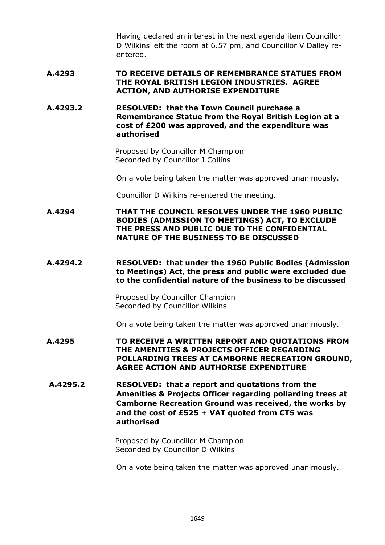Having declared an interest in the next agenda item Councillor D Wilkins left the room at 6.57 pm, and Councillor V Dalley reentered.

## **A.4293 TO RECEIVE DETAILS OF REMEMBRANCE STATUES FROM THE ROYAL BRITISH LEGION INDUSTRIES. AGREE ACTION, AND AUTHORISE EXPENDITURE**

**A.4293.2 RESOLVED: that the Town Council purchase a Remembrance Statue from the Royal British Legion at a cost of £200 was approved, and the expenditure was authorised**

> Proposed by Councillor M Champion Seconded by Councillor J Collins

On a vote being taken the matter was approved unanimously.

Councillor D Wilkins re-entered the meeting.

**A.4294 THAT THE COUNCIL RESOLVES UNDER THE 1960 PUBLIC BODIES (ADMISSION TO MEETINGS) ACT, TO EXCLUDE THE PRESS AND PUBLIC DUE TO THE CONFIDENTIAL NATURE OF THE BUSINESS TO BE DISCUSSED**

#### **A.4294.2 RESOLVED: that under the 1960 Public Bodies (Admission to Meetings) Act, the press and public were excluded due to the confidential nature of the business to be discussed**

Proposed by Councillor Champion Seconded by Councillor Wilkins

On a vote being taken the matter was approved unanimously.

- **A.4295 TO RECEIVE A WRITTEN REPORT AND QUOTATIONS FROM THE AMENITIES & PROJECTS OFFICER REGARDING POLLARDING TREES AT CAMBORNE RECREATION GROUND, AGREE ACTION AND AUTHORISE EXPENDITURE**
- **A.4295.2 RESOLVED: that a report and quotations from the Amenities & Projects Officer regarding pollarding trees at Camborne Recreation Ground was received, the works by and the cost of £525 + VAT quoted from CTS was authorised**

Proposed by Councillor M Champion Seconded by Councillor D Wilkins

On a vote being taken the matter was approved unanimously.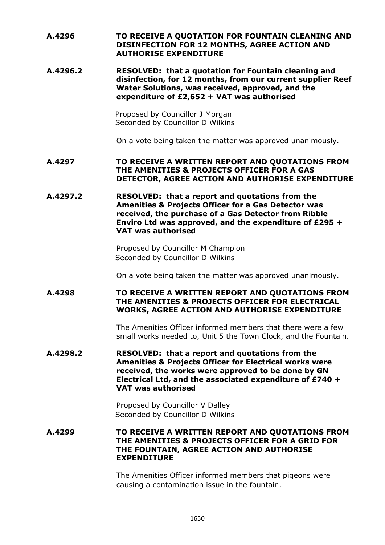# **A.4296 TO RECEIVE A QUOTATION FOR FOUNTAIN CLEANING AND DISINFECTION FOR 12 MONTHS, AGREE ACTION AND AUTHORISE EXPENDITURE**

**A.4296.2 RESOLVED: that a quotation for Fountain cleaning and disinfection, for 12 months, from our current supplier Reef Water Solutions, was received, approved, and the expenditure of £2,652 + VAT was authorised**

> Proposed by Councillor J Morgan Seconded by Councillor D Wilkins

On a vote being taken the matter was approved unanimously.

## **A.4297 TO RECEIVE A WRITTEN REPORT AND QUOTATIONS FROM THE AMENITIES & PROJECTS OFFICER FOR A GAS DETECTOR, AGREE ACTION AND AUTHORISE EXPENDITURE**

**A.4297.2 RESOLVED: that a report and quotations from the Amenities & Projects Officer for a Gas Detector was received, the purchase of a Gas Detector from Ribble Enviro Ltd was approved, and the expenditure of £295 + VAT was authorised**

> Proposed by Councillor M Champion Seconded by Councillor D Wilkins

On a vote being taken the matter was approved unanimously.

## **A.4298 TO RECEIVE A WRITTEN REPORT AND QUOTATIONS FROM THE AMENITIES & PROJECTS OFFICER FOR ELECTRICAL WORKS, AGREE ACTION AND AUTHORISE EXPENDITURE**

The Amenities Officer informed members that there were a few small works needed to, Unit 5 the Town Clock, and the Fountain.

**A.4298.2 RESOLVED: that a report and quotations from the Amenities & Projects Officer for Electrical works were received, the works were approved to be done by GN Electrical Ltd, and the associated expenditure of £740 + VAT was authorised**

> Proposed by Councillor V Dalley Seconded by Councillor D Wilkins

**A.4299 TO RECEIVE A WRITTEN REPORT AND QUOTATIONS FROM THE AMENITIES & PROJECTS OFFICER FOR A GRID FOR THE FOUNTAIN, AGREE ACTION AND AUTHORISE EXPENDITURE**

> The Amenities Officer informed members that pigeons were causing a contamination issue in the fountain.